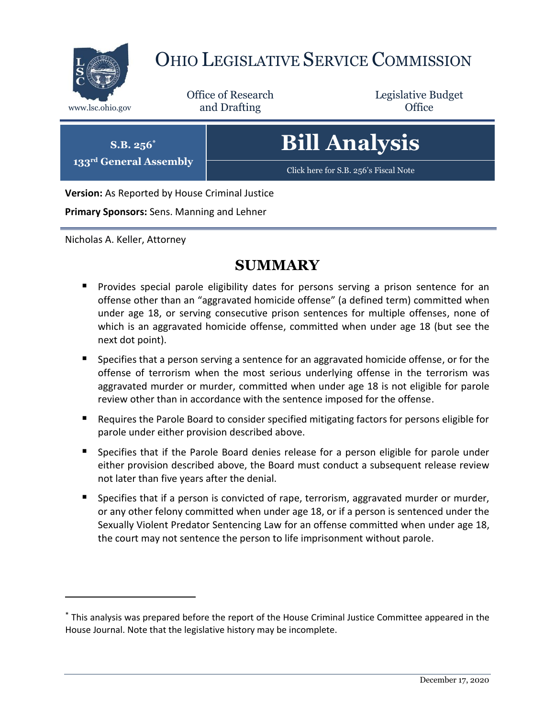

# OHIO LEGISLATIVE SERVICE COMMISSION

Office of Research www.lsc.ohio.gov **and Drafting Office** 

Legislative Budget

**S.B. 256\***

**133rd General Assembly**

[Click here for S.B. 256](https://www.legislature.ohio.gov/legislation/legislation-documents?id=GA133-SB-256)'s Fiscal Note

**Bill Analysis**

**Version:** As Reported by House Criminal Justice

**Primary Sponsors:** Sens. Manning and Lehner

Nicholas A. Keller, Attorney

 $\overline{a}$ 

# **SUMMARY**

- **Perovides special parole eligibility dates for persons serving a prison sentence for an** offense other than an "aggravated homicide offense" (a defined term) committed when under age 18, or serving consecutive prison sentences for multiple offenses, none of which is an aggravated homicide offense, committed when under age 18 (but see the next dot point).
- Specifies that a person serving a sentence for an aggravated homicide offense, or for the offense of terrorism when the most serious underlying offense in the terrorism was aggravated murder or murder, committed when under age 18 is not eligible for parole review other than in accordance with the sentence imposed for the offense.
- Requires the Parole Board to consider specified mitigating factors for persons eligible for parole under either provision described above.
- **Specifies that if the Parole Board denies release for a person eligible for parole under** either provision described above, the Board must conduct a subsequent release review not later than five years after the denial.
- **Specifies that if a person is convicted of rape, terrorism, aggravated murder or murder,** or any other felony committed when under age 18, or if a person is sentenced under the Sexually Violent Predator Sentencing Law for an offense committed when under age 18, the court may not sentence the person to life imprisonment without parole.

<sup>\*</sup> This analysis was prepared before the report of the House Criminal Justice Committee appeared in the House Journal. Note that the legislative history may be incomplete.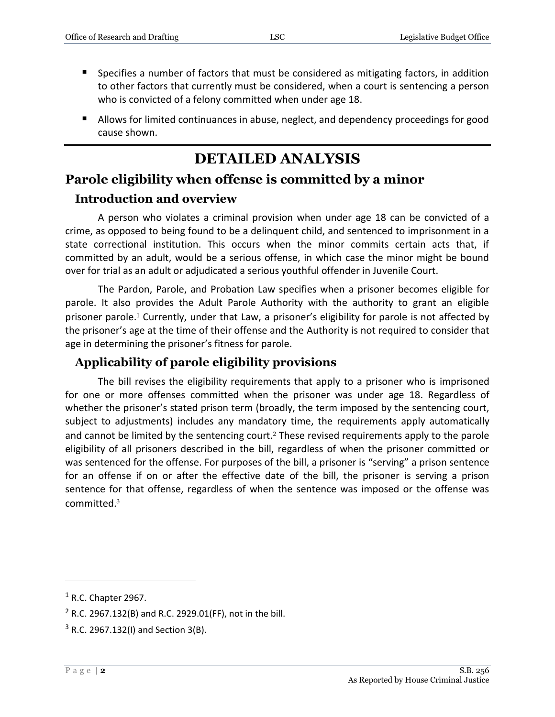- Specifies a number of factors that must be considered as mitigating factors, in addition to other factors that currently must be considered, when a court is sentencing a person who is convicted of a felony committed when under age 18.
- **Allows for limited continuances in abuse, neglect, and dependency proceedings for good** cause shown.

# **DETAILED ANALYSIS**

# **Parole eligibility when offense is committed by a minor**

#### **Introduction and overview**

A person who violates a criminal provision when under age 18 can be convicted of a crime, as opposed to being found to be a delinquent child, and sentenced to imprisonment in a state correctional institution. This occurs when the minor commits certain acts that, if committed by an adult, would be a serious offense, in which case the minor might be bound over for trial as an adult or adjudicated a serious youthful offender in Juvenile Court.

The Pardon, Parole, and Probation Law specifies when a prisoner becomes eligible for parole. It also provides the Adult Parole Authority with the authority to grant an eligible prisoner parole. <sup>1</sup> Currently, under that Law, a prisoner's eligibility for parole is not affected by the prisoner's age at the time of their offense and the Authority is not required to consider that age in determining the prisoner's fitness for parole.

### **Applicability of parole eligibility provisions**

The bill revises the eligibility requirements that apply to a prisoner who is imprisoned for one or more offenses committed when the prisoner was under age 18. Regardless of whether the prisoner's stated prison term (broadly, the term imposed by the sentencing court, subject to adjustments) includes any mandatory time, the requirements apply automatically and cannot be limited by the sentencing court.<sup>2</sup> These revised requirements apply to the parole eligibility of all prisoners described in the bill, regardless of when the prisoner committed or was sentenced for the offense. For purposes of the bill, a prisoner is "serving" a prison sentence for an offense if on or after the effective date of the bill, the prisoner is serving a prison sentence for that offense, regardless of when the sentence was imposed or the offense was committed. 3

 $<sup>1</sup>$  R.C. Chapter 2967.</sup>

 $2$  R.C. 2967.132(B) and R.C. 2929.01(FF), not in the bill.

 $3$  R.C. 2967.132(I) and Section 3(B).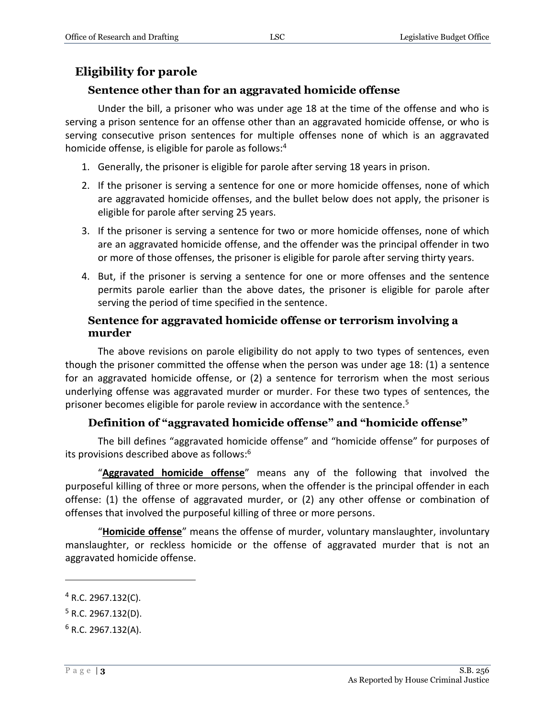# **Eligibility for parole**

#### **Sentence other than for an aggravated homicide offense**

Under the bill, a prisoner who was under age 18 at the time of the offense and who is serving a prison sentence for an offense other than an aggravated homicide offense, or who is serving consecutive prison sentences for multiple offenses none of which is an aggravated homicide offense, is eligible for parole as follows:<sup>4</sup>

- 1. Generally, the prisoner is eligible for parole after serving 18 years in prison.
- 2. If the prisoner is serving a sentence for one or more homicide offenses, none of which are aggravated homicide offenses, and the bullet below does not apply, the prisoner is eligible for parole after serving 25 years.
- 3. If the prisoner is serving a sentence for two or more homicide offenses, none of which are an aggravated homicide offense, and the offender was the principal offender in two or more of those offenses, the prisoner is eligible for parole after serving thirty years.
- 4. But, if the prisoner is serving a sentence for one or more offenses and the sentence permits parole earlier than the above dates, the prisoner is eligible for parole after serving the period of time specified in the sentence.

#### **Sentence for aggravated homicide offense or terrorism involving a murder**

The above revisions on parole eligibility do not apply to two types of sentences, even though the prisoner committed the offense when the person was under age 18: (1) a sentence for an aggravated homicide offense, or (2) a sentence for terrorism when the most serious underlying offense was aggravated murder or murder. For these two types of sentences, the prisoner becomes eligible for parole review in accordance with the sentence.<sup>5</sup>

#### **Definition of "aggravated homicide offense" and "homicide offense"**

The bill defines "aggravated homicide offense" and "homicide offense" for purposes of its provisions described above as follows:<sup>6</sup>

"**Aggravated homicide offense**" means any of the following that involved the purposeful killing of three or more persons, when the offender is the principal offender in each offense: (1) the offense of aggravated murder, or (2) any other offense or combination of offenses that involved the purposeful killing of three or more persons.

"**Homicide offense**" means the offense of murder, voluntary manslaughter, involuntary manslaughter, or reckless homicide or the offense of aggravated murder that is not an aggravated homicide offense.

 $4$  R.C. 2967.132(C).

 $5$  R.C. 2967.132(D).

 $6$  R.C. 2967.132(A).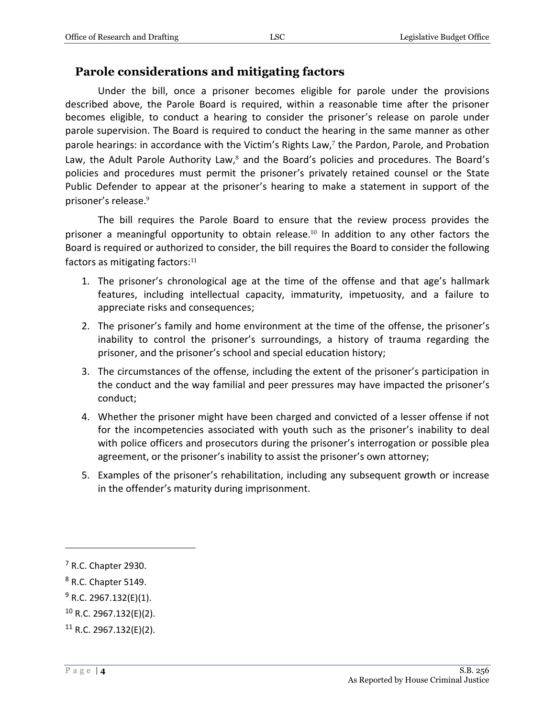#### **Parole considerations and mitigating factors**

Under the bill, once a prisoner becomes eligible for parole under the provisions described above, the Parole Board is required, within a reasonable time after the prisoner becomes eligible, to conduct a hearing to consider the prisoner's release on parole under parole supervision. The Board is required to conduct the hearing in the same manner as other parole hearings: in accordance with the Victim's Rights Law,<sup>7</sup> the Pardon, Parole, and Probation Law, the Adult Parole Authority Law, $^8$  and the Board's policies and procedures. The Board's policies and procedures must permit the prisoner's privately retained counsel or the State Public Defender to appear at the prisoner's hearing to make a statement in support of the prisoner's release.<sup>9</sup>

The bill requires the Parole Board to ensure that the review process provides the prisoner a meaningful opportunity to obtain release.<sup>10</sup> In addition to any other factors the Board is required or authorized to consider, the bill requires the Board to consider the following factors as mitigating factors: $11$ 

- 1. The prisoner's chronological age at the time of the offense and that age's hallmark features, including intellectual capacity, immaturity, impetuosity, and a failure to appreciate risks and consequences;
- 2. The prisoner's family and home environment at the time of the offense, the prisoner's inability to control the prisoner's surroundings, a history of trauma regarding the prisoner, and the prisoner's school and special education history;
- 3. The circumstances of the offense, including the extent of the prisoner's participation in the conduct and the way familial and peer pressures may have impacted the prisoner's conduct;
- 4. Whether the prisoner might have been charged and convicted of a lesser offense if not for the incompetencies associated with youth such as the prisoner's inability to deal with police officers and prosecutors during the prisoner's interrogation or possible plea agreement, or the prisoner's inability to assist the prisoner's own attorney;
- 5. Examples of the prisoner's rehabilitation, including any subsequent growth or increase in the offender's maturity during imprisonment.

<sup>7</sup> R.C. Chapter 2930.

<sup>8</sup> R.C. Chapter 5149.

 $9$  R.C. 2967.132(E)(1).

<sup>10</sup> R.C. 2967.132(E)(2).

 $11$  R.C. 2967.132(E)(2).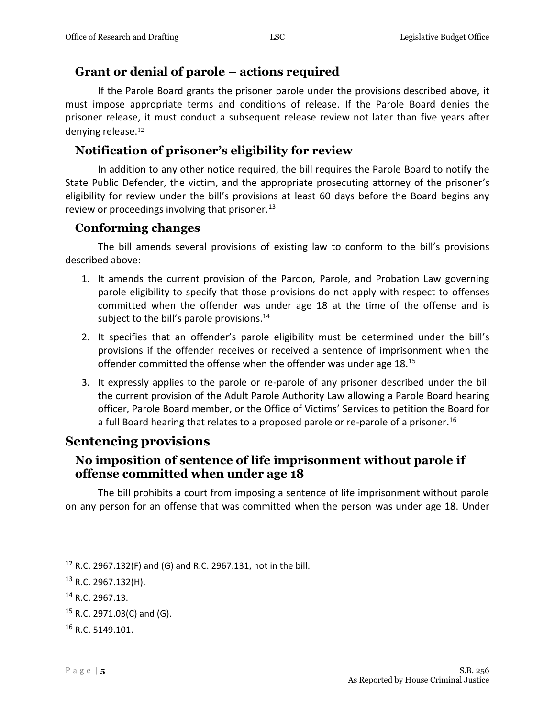#### **Grant or denial of parole – actions required**

If the Parole Board grants the prisoner parole under the provisions described above, it must impose appropriate terms and conditions of release. If the Parole Board denies the prisoner release, it must conduct a subsequent release review not later than five years after denying release.<sup>12</sup>

### **Notification of prisoner's eligibility for review**

In addition to any other notice required, the bill requires the Parole Board to notify the State Public Defender, the victim, and the appropriate prosecuting attorney of the prisoner's eligibility for review under the bill's provisions at least 60 days before the Board begins any review or proceedings involving that prisoner. $^{13}$ 

#### **Conforming changes**

The bill amends several provisions of existing law to conform to the bill's provisions described above:

- 1. It amends the current provision of the Pardon, Parole, and Probation Law governing parole eligibility to specify that those provisions do not apply with respect to offenses committed when the offender was under age 18 at the time of the offense and is subject to the bill's parole provisions. $14$
- 2. It specifies that an offender's parole eligibility must be determined under the bill's provisions if the offender receives or received a sentence of imprisonment when the offender committed the offense when the offender was under age 18.<sup>15</sup>
- 3. It expressly applies to the parole or re-parole of any prisoner described under the bill the current provision of the Adult Parole Authority Law allowing a Parole Board hearing officer, Parole Board member, or the Office of Victims' Services to petition the Board for a full Board hearing that relates to a proposed parole or re-parole of a prisoner. 16

# **Sentencing provisions**

#### **No imposition of sentence of life imprisonment without parole if offense committed when under age 18**

The bill prohibits a court from imposing a sentence of life imprisonment without parole on any person for an offense that was committed when the person was under age 18. Under

<sup>12</sup> R.C. 2967.132(F) and (G) and R.C. 2967.131, not in the bill.

 $13$  R.C. 2967.132(H).

<sup>14</sup> R.C. 2967.13.

 $15$  R.C. 2971.03(C) and (G).

<sup>16</sup> R.C. 5149.101.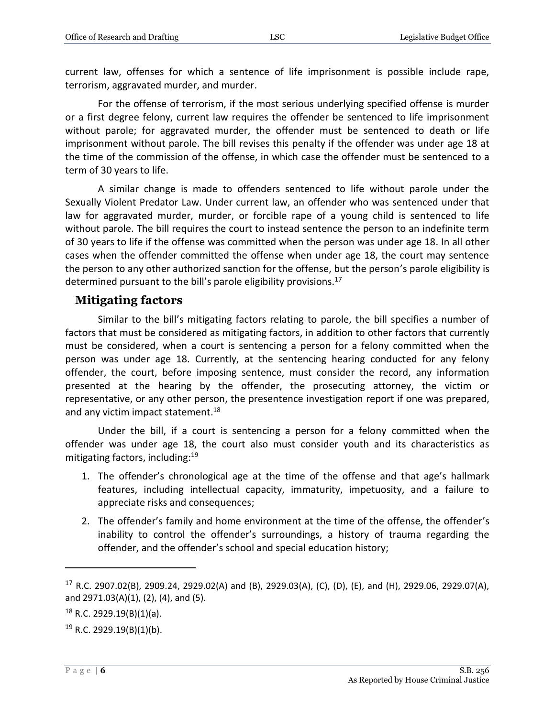current law, offenses for which a sentence of life imprisonment is possible include rape, terrorism, aggravated murder, and murder.

For the offense of terrorism, if the most serious underlying specified offense is murder or a first degree felony, current law requires the offender be sentenced to life imprisonment without parole; for aggravated murder, the offender must be sentenced to death or life imprisonment without parole. The bill revises this penalty if the offender was under age 18 at the time of the commission of the offense, in which case the offender must be sentenced to a term of 30 years to life.

A similar change is made to offenders sentenced to life without parole under the Sexually Violent Predator Law. Under current law, an offender who was sentenced under that law for aggravated murder, murder, or forcible rape of a young child is sentenced to life without parole. The bill requires the court to instead sentence the person to an indefinite term of 30 years to life if the offense was committed when the person was under age 18. In all other cases when the offender committed the offense when under age 18, the court may sentence the person to any other authorized sanction for the offense, but the person's parole eligibility is determined pursuant to the bill's parole eligibility provisions.<sup>17</sup>

#### **Mitigating factors**

Similar to the bill's mitigating factors relating to parole, the bill specifies a number of factors that must be considered as mitigating factors, in addition to other factors that currently must be considered, when a court is sentencing a person for a felony committed when the person was under age 18. Currently, at the sentencing hearing conducted for any felony offender, the court, before imposing sentence, must consider the record, any information presented at the hearing by the offender, the prosecuting attorney, the victim or representative, or any other person, the presentence investigation report if one was prepared, and any victim impact statement.<sup>18</sup>

Under the bill, if a court is sentencing a person for a felony committed when the offender was under age 18, the court also must consider youth and its characteristics as mitigating factors, including:<sup>19</sup>

- 1. The offender's chronological age at the time of the offense and that age's hallmark features, including intellectual capacity, immaturity, impetuosity, and a failure to appreciate risks and consequences;
- 2. The offender's family and home environment at the time of the offense, the offender's inability to control the offender's surroundings, a history of trauma regarding the offender, and the offender's school and special education history;

<sup>17</sup> R.C. 2907.02(B), 2909.24, 2929.02(A) and (B), 2929.03(A), (C), (D), (E), and (H), 2929.06, 2929.07(A), and 2971.03(A)(1), (2), (4), and (5).

 $18$  R.C. 2929.19(B)(1)(a).

 $19$  R.C. 2929.19(B)(1)(b).